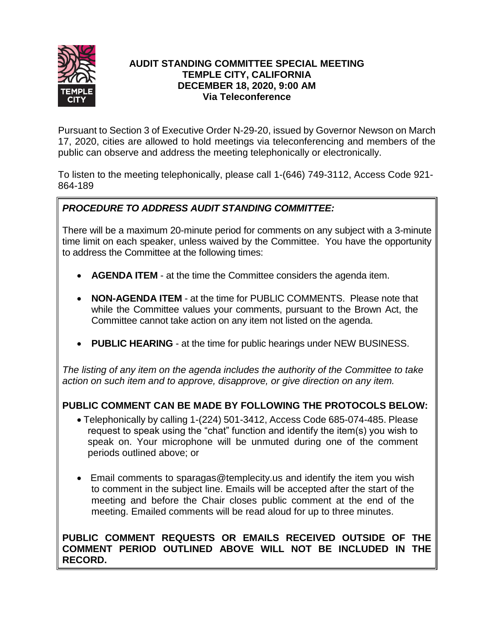

# **AUDIT STANDING COMMITTEE SPECIAL MEETING TEMPLE CITY, CALIFORNIA DECEMBER 18, 2020, 9:00 AM Via Teleconference**

Pursuant to Section 3 of Executive Order N-29-20, issued by Governor Newson on March 17, 2020, cities are allowed to hold meetings via teleconferencing and members of the public can observe and address the meeting telephonically or electronically.

To listen to the meeting telephonically, please call 1-(646) 749-3112, Access Code 921- 864-189

# *PROCEDURE TO ADDRESS AUDIT STANDING COMMITTEE:*

There will be a maximum 20-minute period for comments on any subject with a 3-minute time limit on each speaker, unless waived by the Committee. You have the opportunity to address the Committee at the following times:

- **AGENDA ITEM** at the time the Committee considers the agenda item.
- **NON-AGENDA ITEM** at the time for PUBLIC COMMENTS. Please note that while the Committee values your comments, pursuant to the Brown Act, the Committee cannot take action on any item not listed on the agenda.
- **PUBLIC HEARING** at the time for public hearings under NEW BUSINESS.

*The listing of any item on the agenda includes the authority of the Committee to take action on such item and to approve, disapprove, or give direction on any item.*

# **PUBLIC COMMENT CAN BE MADE BY FOLLOWING THE PROTOCOLS BELOW:**

- Telephonically by calling 1-(224) 501-3412, Access Code 685-074-485. Please request to speak using the "chat" function and identify the item(s) you wish to speak on. Your microphone will be unmuted during one of the comment periods outlined above; or
- Email comments to sparagas@templecity.us and identify the item you wish to comment in the subject line. Emails will be accepted after the start of the meeting and before the Chair closes public comment at the end of the meeting. Emailed comments will be read aloud for up to three minutes.

# **PUBLIC COMMENT REQUESTS OR EMAILS RECEIVED OUTSIDE OF THE COMMENT PERIOD OUTLINED ABOVE WILL NOT BE INCLUDED IN THE RECORD.**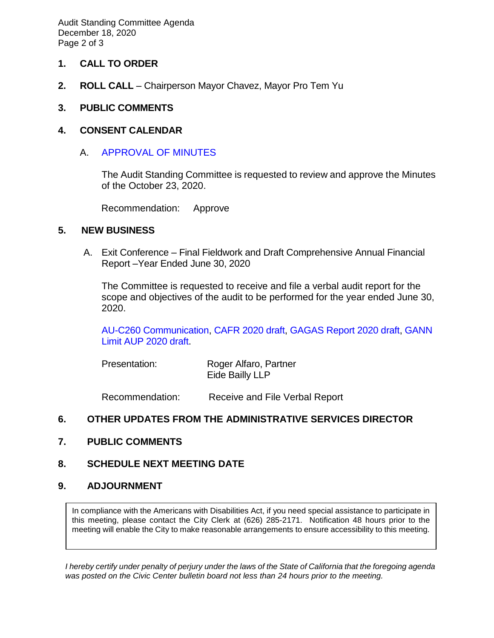Audit Standing Committee Agenda December 18, 2020 Page 2 of 3

#### **1. CALL TO ORDER**

**2. ROLL CALL** – Chairperson Mayor Chavez, Mayor Pro Tem Yu

### **3. PUBLIC COMMENTS**

#### **4. CONSENT CALENDAR**

### A. [APPROVAL OF MINUTES](https://ca-templecity.civicplus.com/DocumentCenter/View/15487/Minutes---Audit-Standing-Committee---2020-10-23)

The Audit Standing Committee is requested to review and approve the Minutes of the October 23, 2020.

Recommendation: Approve

#### **5. NEW BUSINESS**

A. Exit Conference – Final Fieldwork and Draft Comprehensive Annual Financial Report –Year Ended June 30, 2020

The Committee is requested to receive and file a verbal audit report for the scope and objectives of the audit to be performed for the year ended June 30, 2020.

[AU-C260 Communication,](https://ca-templecity.civicplus.com/DocumentCenter/View/15492/City-of-Temple-City-AU-C-260-Communication-2020-draft-12-16-20) CAFR [2020 draft,](https://ca-templecity.civicplus.com/DocumentCenter/View/15493/City-of-Temple-City-CAFR-2020-draft-12-16-20) [GAGAS Report 2020 draft,](https://ca-templecity.civicplus.com/DocumentCenter/View/15494/City-of-Temple-City-GAGAS-Report-2020-draft-12-16-20) [GANN](https://ca-templecity.civicplus.com/DocumentCenter/View/15495/City-of-Temple-City-GANN-Limit-AUP-2020-draft-12-16-20)  [Limit AUP 2020 draft.](https://ca-templecity.civicplus.com/DocumentCenter/View/15495/City-of-Temple-City-GANN-Limit-AUP-2020-draft-12-16-20)

| Presentation: | Roger Alfaro, Partner |
|---------------|-----------------------|
|               | Eide Bailly LLP       |

Recommendation: Receive and File Verbal Report

# **6. OTHER UPDATES FROM THE ADMINISTRATIVE SERVICES DIRECTOR**

**7. PUBLIC COMMENTS**

#### **8. SCHEDULE NEXT MEETING DATE**

#### **9. ADJOURNMENT**

In compliance with the Americans with Disabilities Act, if you need special assistance to participate in this meeting, please contact the City Clerk at (626) 285-2171. Notification 48 hours prior to the meeting will enable the City to make reasonable arrangements to ensure accessibility to this meeting.

*I hereby certify under penalty of perjury under the laws of the State of California that the foregoing agenda was posted on the Civic Center bulletin board not less than 24 hours prior to the meeting.*